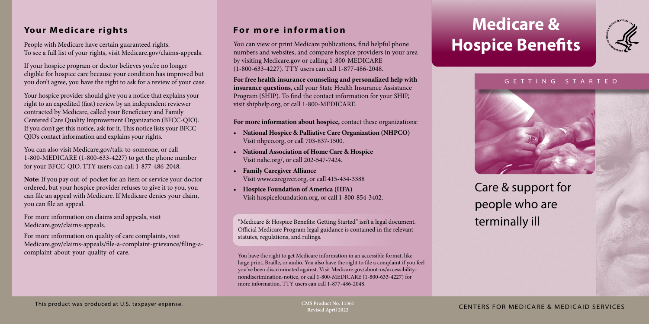# **Medicare & Hospice Benefits**



### G E T T I N G S T A R T E D



## Care & support for people who are terminally ill

CMS Product No. 11361<br>
CENTERS FOR MEDICARE & MEDICAID SERVICES

## **Your Medicare rights**

People with Medicare have certain guaranteed rights. To see a full list of your rights, visit [Medicare.gov/claims-appeals](https://www.medicare.gov/claims-appeals).

If your hospice program or doctor believes you're no longer eligible for hospice care because your condition has improved but you don't agree, you have the right to ask for a review of your case.

Your hospice provider should give you a notice that explains your right to an expedited (fast) review by an independent reviewer contracted by Medicare, called your Beneficiary and Family Centered Care Quality Improvement Organization (BFCC-QIO). If you don't get this notice, ask for it. This notice lists your BFCC-QIO's contact information and explains your rights.

You can also visit [Medicare.gov/talk-to-someone,](https://www.medicare.gov/talk-to-someone) or call 1-800-MEDICARE (1-800-633-4227) to get the phone number for your BFCC-QIO. TTY users can call 1-877-486-2048.

**Note:** If you pay out-of-pocket for an item or service your doctor ordered, but your hospice provider refuses to give it to you, you can file an appeal with Medicare. If Medicare denies your claim, you can file an appeal.

For more information on claims and appeals, visit [Medicare.gov/claims-appeals.](http://Medicare.gov/claims-appeals)

For more information on quality of care complaints, visit [Medicare.gov/claims-appeals/file-a-complaint-grievance/filing-a](http://Medicare.gov/claims-appeals/file-a-complaint-grievance/filing-a-complaint-about-your-quality-of-care)[complaint-about-your-quality-of-care.](http://Medicare.gov/claims-appeals/file-a-complaint-grievance/filing-a-complaint-about-your-quality-of-care)

## **For more information**

You can view or print Medicare publications, find helpful phone numbers and websites, and compare hospice providers in your area by visiting [Medicare.gov](http://Medicare.gov) or calling 1-800-MEDICARE (1-800-633-4227). TTY users can call 1-877-486-2048.

**For free health insurance counseling and personalized help with insurance questions,** call your State Health Insurance Assistance Program (SHIP). To find the contact information for your SHIP, visit [shiphelp.org,](http://shiphelp.org) or call 1-800-MEDICARE.

**For more information about hospice,** contact these organizations:

- **• National Hospice & Palliative Care Organization (NHPCO)** Visit [nhpco.org](http://nhpco.org), or call 703-837-1500.
- **• National Association of Home Care & Hospice** Visit [nahc.org/](https://www.nahc.org/), or call 202-547-7424.
- **• Family Caregiver Alliance**  Visit [www.caregiver.org,](http://www.caregiver.org) or call 415-434-3388
- **• Hospice Foundation of America (HFA)** Visit [hospicefoundation.org](http://hospicefoundation.org), or call 1-800-854-3402.

"Medicare & Hospice Benefits: Getting Started" isn't a legal document. Official Medicare Program legal guidance is contained in the relevant statutes, regulations, and rulings.

You have the right to get Medicare information in an accessible format, like large print, Braille, or audio. You also have the right to file a complaint if you feel you've been discriminated against. Visit [Medicare.gov/about-us/accessibility](http://Medicare.gov/about-us/accessibility-nondiscrimination-notice)[nondiscrimination-notice](http://Medicare.gov/about-us/accessibility-nondiscrimination-notice), or call 1-800-MEDICARE (1-800-633-4227) for more information. TTY users can call 1-877-486-2048.